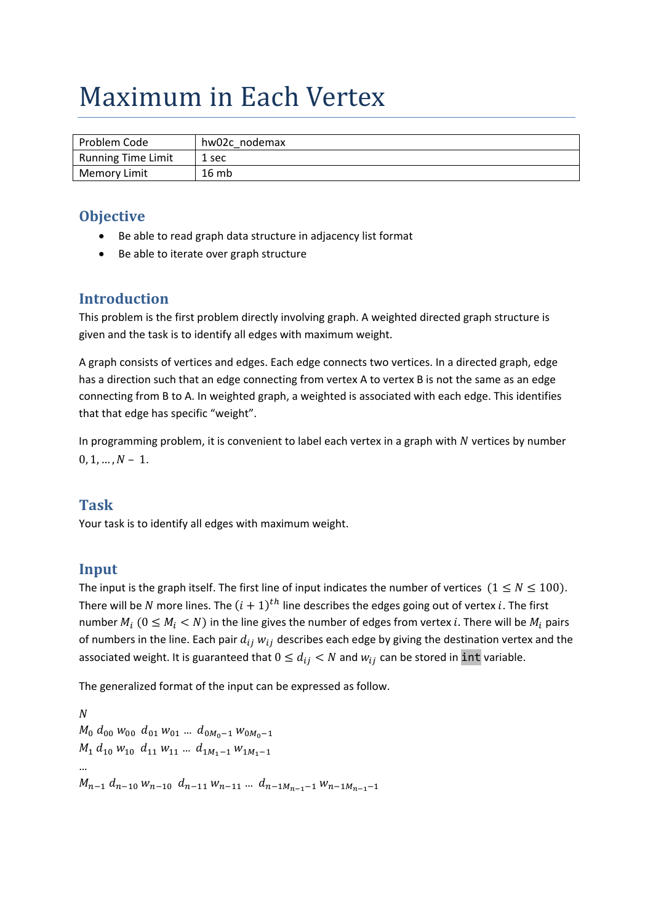# Maximum in Each Vertex

| Problem Code              | hw02c nodemax |
|---------------------------|---------------|
| <b>Running Time Limit</b> | 1 sec         |
| <b>Memory Limit</b>       | 16mb          |

#### **Objective**

- Be able to read graph data structure in adjacency list format
- Be able to iterate over graph structure

#### **Introduction**

This problem is the first problem directly involving graph. A weighted directed graph structure is given and the task is to identify all edges with maximum weight.

A graph consists of vertices and edges. Each edge connects two vertices. In a directed graph, edge has a direction such that an edge connecting from vertex A to vertex B is not the same as an edge connecting from B to A. In weighted graph, a weighted is associated with each edge. This identifies that that edge has specific "weight".

In programming problem, it is convenient to label each vertex in a graph with  $N$  vertices by number  $0, 1, ..., N - 1.$ 

#### **Task**

Your task is to identify all edges with maximum weight.

#### **Input**

The input is the graph itself. The first line of input indicates the number of vertices  $(1 \le N \le 100)$ . There will be N more lines. The  $(i + 1)<sup>th</sup>$  line describes the edges going out of vertex i. The first number  $M_i$  ( $0 \leq M_i < N$ ) in the line gives the number of edges from vertex *i*. There will be  $M_i$  pairs of numbers in the line. Each pair  $d_{ij}$   $w_{ij}$  describes each edge by giving the destination vertex and the associated weight. It is guaranteed that  $0 \leq d_{ij} < N$  and  $w_{ij}$  can be stored in int variable.

The generalized format of the input can be expressed as follow.

 $\boldsymbol{N}$  $M_0$   $d_{00}$   $w_{00}$   $d_{01}$   $w_{01}$  ...  $d_{0M_0-1}$   $w_{0M_0-1}$  $M_1$   $d_{10}$   $w_{10}$   $d_{11}$   $w_{11}$  ...  $d_{1M_1-1}$   $w_{1M_1-1}$ …  $M_{n-1}$   $d_{n-10}$   $W_{n-10}$   $d_{n-11}$   $W_{n-11}$   $\ldots$   $d_{n-1}$  $M_{n-1}$   $Q_{n-1}$   $W_{n-1}$